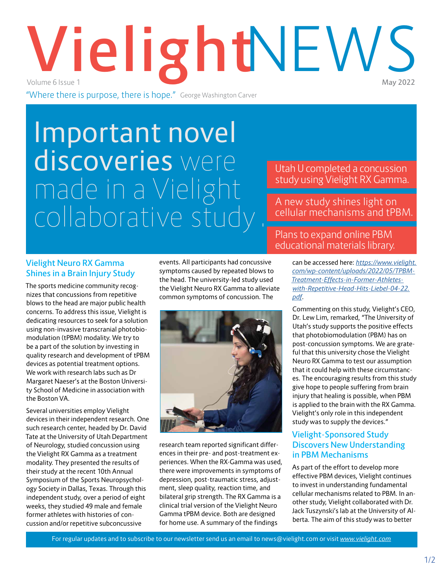# **Vielight**NEWS Volume 6 Issue 1

"Where there is purpose, there is hope." George Washington Carver

# Important novel discoveries were made in a Vielight collaborative study .

## Utah U completed a concussion study using Vielight RX Gamma.

# A new study shines light on cellular mechanisms and tPBM.

#### **Vielight Neuro RX Gamma Shines in a Brain Injury Study**

The sports medicine community recognizes that concussions from repetitive blows to the head are major public health concerns. To address this issue, Vielight is dedicating resources to seek for a solution using non-invasive transcranial photobiomodulation (tPBM) modality. We try to be a part of the solution by investing in quality research and development of tPBM devices as potential treatment options. We work with research labs such as Dr Margaret Naeser's at the Boston University School of Medicine in association with the Boston VA.

Several universities employ Vielight devices in their independent research. One such research center, headed by Dr. David Tate at the University of Utah Department of Neurology, studied concussion using the Vielight RX Gamma as a treatment modality. They presented the results of their study at the recent 10th Annual Symposium of the Sports Neuropsychology Society in Dallas, Texas. Through this independent study, over a period of eight weeks, they studied 49 male and female former athletes with histories of concussion and/or repetitive subconcussive

events. All participants had concussive symptoms caused by repeated blows to the head. The university-led study used the Vielight Neuro RX Gamma to alleviate common symptoms of concussion. The



research team reported significant differences in their pre- and post-treatment experiences. When the RX-Gamma was used, there were improvements in symptoms of depression, post-traumatic stress, adjustment, sleep quality, reaction time, and bilateral grip strength. The RX Gamma is a clinical trial version of the Vielight Neuro Gamma tPBM device. Both are designed for home use. A summary of the findings

### Plans to expand online PBM educational materials library.

can be accessed here: *[https://www.vielight.](https://www.vielight.com/wp-content/uploads/2022/05/TPBM-Treatment-Effects-in-Former-Athletes-with-Repetitive-Head-Hits-Liebel-04-22.pdf) [com/wp-content/uploads/2022/05/TPBM-](https://www.vielight.com/wp-content/uploads/2022/05/TPBM-Treatment-Effects-in-Former-Athletes-with-Repetitive-Head-Hits-Liebel-04-22.pdf)[Treatment-Effects-in-Former-Athletes](https://www.vielight.com/wp-content/uploads/2022/05/TPBM-Treatment-Effects-in-Former-Athletes-with-Repetitive-Head-Hits-Liebel-04-22.pdf)[with-Repetitive-Head-Hits-Liebel-04-22.](https://www.vielight.com/wp-content/uploads/2022/05/TPBM-Treatment-Effects-in-Former-Athletes-with-Repetitive-Head-Hits-Liebel-04-22.pdf) [pdf](https://www.vielight.com/wp-content/uploads/2022/05/TPBM-Treatment-Effects-in-Former-Athletes-with-Repetitive-Head-Hits-Liebel-04-22.pdf)*.

Commenting on this study, Vielight's CEO, Dr. Lew Lim, remarked, "The University of Utah's study supports the positive effects that photobiomodulation (PBM) has on post-concussion symptoms. We are grateful that this university chose the Vielight Neuro RX Gamma to test our assumption that it could help with these circumstances. The encouraging results from this study give hope to people suffering from brain injury that healing is possible, when PBM is applied to the brain with the RX Gamma. Vielight's only role in this independent study was to supply the devices."

#### **Vielight-Sponsored Study Discovers New Understanding in PBM Mechanisms**

As part of the effort to develop more effective PBM devices, Vielight continues to invest in understanding fundamental cellular mechanisms related to PBM. In another study, Vielight collaborated with Dr. Jack Tuszynski's lab at the University of Alberta. The aim of this study was to better

For regular updates and to subscribe to our newsletter send us an email to news@vielight.com or visit *<www.vielight.com>*